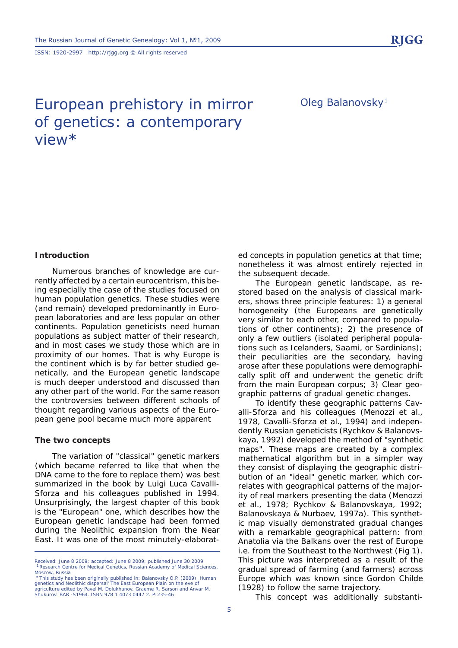# European prehistory in mirror of genetics: a contemporary view\*

Oleg Balanovsky 1

## **Introduction**

Numerous branches of knowledge are currently affected by a certain eurocentrism, this being especially the case of the studies focused on human population genetics. These studies were (and remain) developed predominantly in European laboratories and are less popular on other continents. Population geneticists need human populations as subject matter of their research, and in most cases we study those which are in proximity of our homes. That is why Europe is the continent which is by far better studied genetically, and the European genetic landscape is much deeper understood and discussed than any other part of the world. For the same reason the controversies between different schools of thought regarding various aspects of the European gene pool became much more apparent

## **The two concepts**

The variation of "classical" genetic markers (which became referred to like that when the DNA came to the fore to replace them) was best summarized in the book by Luigi Luca Cavalli-Sforza and his colleagues published in 1994. Unsurprisingly, the largest chapter of this book is the "European" one, which describes how the European genetic landscape had been formed during the Neolithic expansion from the Near East. It was one of the most minutely-elaborated concepts in population genetics at that time; nonetheless it was almost entirely rejected in the subsequent decade.

The European genetic landscape, as restored based on the analysis of classical markers, shows three principle features: 1) a general homogeneity (the Europeans are genetically very similar to each other, compared to populations of other continents); 2) the presence of only a few outliers (isolated peripheral populations such as Icelanders, Saami, or Sardinians); their peculiarities are the secondary, having arose after these populations were demographically split off and underwent the genetic drift from the main European corpus; 3) Clear geographic patterns of gradual genetic changes.

To identify these geographic patterns Cavalli-Sforza and his colleagues (Menozzi et al., 1978, Cavalli-Sforza et al., 1994) and independently Russian geneticists (Rychkov & Balanovskaya, 1992) developed the method of "synthetic maps". These maps are created by a complex mathematical algorithm but in a simpler way they consist of displaying the geographic distribution of an "ideal" genetic marker, which correlates with geographical patterns of the majority of real markers presenting the data (Menozzi et al., 1978; Rychkov & Balanovskaya, 1992; Balanovskaya & Nurbaev, 1997a). This synthetic map visually demonstrated gradual changes with a remarkable geographical pattern: from Anatolia via the Balkans over the rest of Europe i.e. from the Southeast to the Northwest (Fig 1). This picture was interpreted as a result of the gradual spread of farming (and farmers) across Europe which was known since Gordon Childe (1928) to follow the same trajectory.

This concept was additionally substanti-

Received: June 8 2009; accepted: June 8 2009; published June 30 2009 <sup>1</sup> Research Centre for Medical Genetics, Russian Academy of Medical Sciences, Moscow, Russia

<sup>\*</sup> This study has been originally published in: Balanovsky O.P. (2009) Human genetics and Neolithic dispersal' The East European Plain on the eve of agriculture edited by Pavel M. Dolukhanov, Graeme R. Sarson and Anvar M. Shukurov. BAR -S1964. ISBN 978 1 4073 0447 2. P:235-46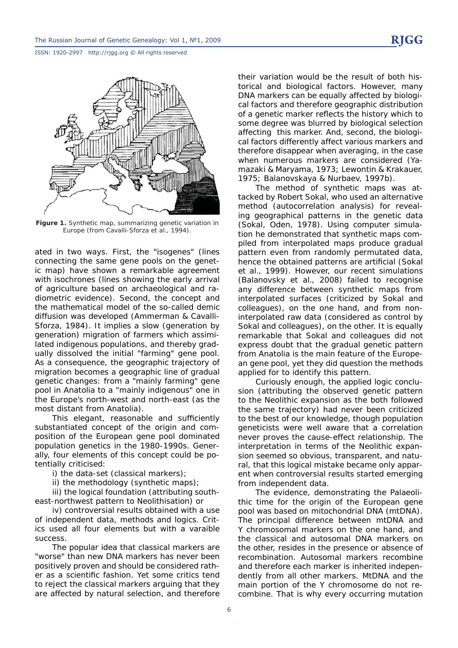

**Figure 1.** Synthetic map, summarizing genetic variation in Europe (from Cavalli-Sforza et al., 1994).

ated in two ways. First, the "isogenes" (lines connecting the same gene pools on the genetic map) have shown a remarkable agreement with isochrones (lines showing the early arrival of agriculture based on archaeological and radiometric evidence). Second, the concept and the mathematical model of the so-called demic diffusion was developed (Ammerman & Cavalli-Sforza, 1984). It implies a slow (generation by generation) migration of farmers which assimilated indigenous populations, and thereby gradually dissolved the initial "farming" gene pool. As a consequence, the geographic trajectory of migration becomes a geographic line of gradual genetic changes: from a "mainly farming" gene pool in Anatolia to a "mainly indigenous" one in the Europe's north-west and north-east (as the most distant from Anatolia).

This elegant, reasonable and sufficiently substantiated concept of the origin and composition of the European gene pool dominated population genetics in the 1980-1990s. Generally, four elements of this concept could be potentially criticised:

i) the data-set (classical markers);

ii) the methodology (synthetic maps);

iii) the logical foundation (attributing southeast-northwest pattern to Neolithisation) or

iv) controversial results obtained with a use of independent data, methods and logics. Critics used all four elements but with a varaible success.

The popular idea that classical markers are "worse" than new DNA markers has never been positively proven and should be considered rather as a scientific fashion. Yet some critics tend to reject the classical markers arguing that they are affected by natural selection, and therefore

their variation would be the result of both historical and biological factors. However, many DNA markers can be equally affected by biological factors and therefore geographic distribution of a genetic marker reflects the history which to some degree was blurred by biological selection affecting this marker. And, second, the biological factors differently affect various markers and therefore disappear when averaging, in the case when numerous markers are considered (Yamazaki & Maryama, 1973; Lewontin & Krakauer, 1975; Balanovskaya & Nurbaev, 1997b).

The method of synthetic maps was attacked by Robert Sokal, who used an alternative method (autocorrelation analysis) for revealing geographical patterns in the genetic data (Sokal, Oden, 1978). Using computer simulation he demonstrated that synthetic maps compiled from interpolated maps produce gradual pattern even from randomly permutated data, hence the obtained patterns are artificial (Sokal et al., 1999). However, our recent simulations (Balanovsky et al., 2008) failed to recognise any difference between synthetic maps from interpolated surfaces (criticized by Sokal and colleagues), on the one hand, and from noninterpolated raw data (considered as control by Sokal and colleagues), on the other. It is equally remarkable that Sokal and colleagues did not express doubt that the gradual genetic pattern from Anatolia is the main feature of the European gene pool, yet they did question the methods applied for to identify this pattern.

Curiously enough, the applied logic conclusion (attributing the observed genetic pattern to the Neolithic expansion as the both followed the same trajectory) had never been criticized to the best of our knowledge, though population geneticists were well aware that a correlation never proves the cause-effect relationship. The interpretation in terms of the Neolithic expansion seemed so obvious, transparent, and natural, that this logical mistake became only apparent when controversial results started emerging from independent data.

The evidence, demonstrating the Palaeolithic time for the origin of the European gene pool was based on mitochondrial DNA (mtDNA). The principal difference between mtDNA and Y chromosomal markers on the one hand, and the classical and autosomal DNA markers on the other, resides in the presence or absence of recombination. Autosomal markers recombine and therefore each marker is inherited independently from all other markers. MtDNA and the main portion of the Y chromosome do not recombine. That is why every occurring mutation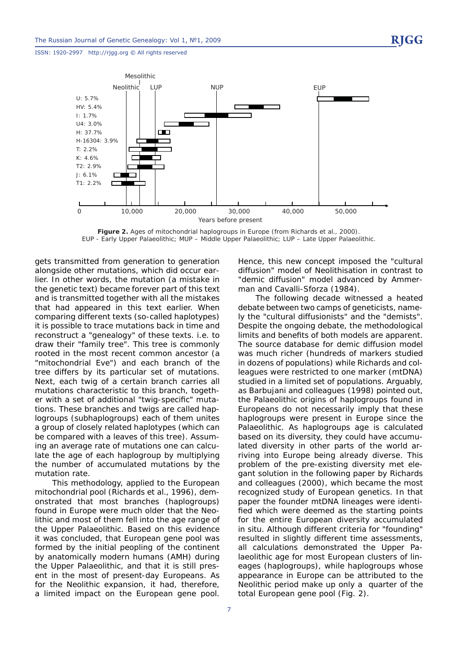

Years before present **Figure 2.** Ages of mitochondrial haplogroups in Europe (from Richards et al., 2000). EUP - Early Upper Palaeolithic; MUP – Middle Upper Palaeolithic; LUP – Late Upper Palaeolithic.

gets transmitted from generation to generation alongside other mutations, which did occur earlier. In other words, the mutation (a mistake in the genetic text) became forever part of this text and is transmitted together with all the mistakes that had appeared in this text earlier. When comparing different texts (so-called haplotypes) it is possible to trace mutations back in time and reconstruct a "genealogy" of these texts. i.e. to draw their "family tree". This tree is commonly rooted in the most recent common ancestor (a "mitochondrial Eve") and each branch of the tree differs by its particular set of mutations. Next, each twig of a certain branch carries all mutations characteristic to this branch, together with a set of additional "twig-specific" mutations. These branches and twigs are called haplogroups (subhaplogroups) each of them unites a group of closely related haplotypes (which can be compared with a leaves of this tree). Assuming an average rate of mutations one can calculate the age of each haplogroup by multiplying the number of accumulated mutations by the mutation rate.

This methodology, applied to the European mitochondrial pool (Richards et al., 1996), demonstrated that most branches (haplogroups) found in Europe were much older that the Neolithic and most of them fell into the age range of the Upper Palaeolithic. Based on this evidence it was concluded, that European gene pool was formed by the initial peopling of the continent by anatomically modern humans (AMH) during the Upper Palaeolithic, and that it is still present in the most of present-day Europeans. As for the Neolithic expansion, it had, therefore, a limited impact on the European gene pool.

Hence, this new concept imposed the "cultural diffusion" model of Neolithisation in contrast to "demic diffusion" model advanced by Ammerman and Cavalli-Sforza (1984).

The following decade witnessed a heated debate between two camps of geneticists, namely the "cultural diffusionists" and the "demists". Despite the ongoing debate, the methodological limits and benefits of both models are apparent. The source database for demic diffusion model was much richer (hundreds of markers studied in dozens of populations) while Richards and colleagues were restricted to one marker (mtDNA) studied in a limited set of populations. Arguably, as Barbujani and colleagues (1998) pointed out, the Palaeolithic origins of haplogroups found in Europeans do not necessarily imply that these haplogroups were present in Europe since the Palaeolithic. As haplogroups age is calculated based on its diversity, they could have accumulated diversity in other parts of the world arriving into Europe being already diverse. This problem of the pre-existing diversity met elegant solution in the following paper by Richards and colleagues (2000), which became the most recognized study of European genetics. In that paper the founder mtDNA lineages were identified which were deemed as the starting points for the entire European diversity accumulated in situ. Although different criteria for "founding" resulted in slightly different time assessments, all calculations demonstrated the Upper Palaeolithic age for most European clusters of lineages (haplogroups), while haplogroups whose appearance in Europe can be attributed to the Neolithic period make up only a quarter of the total European gene pool (Fig. 2).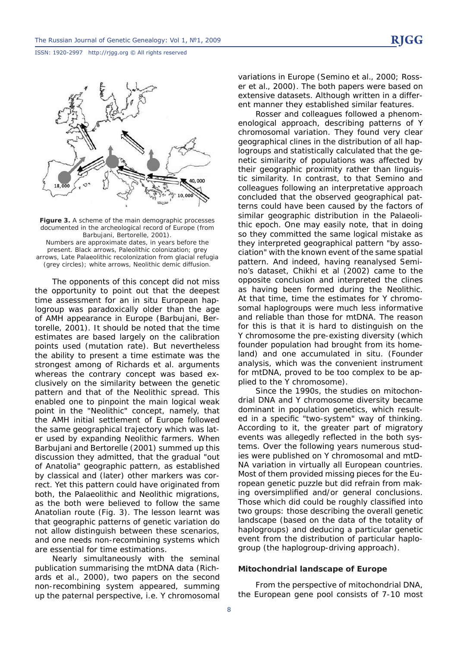

**Figure 3.** A scheme of the main demographic processes documented in the archeological record of Europe (from Barbujani, Bertorelle, 2001).

Numbers are approximate dates, in years before the present. Black arrows, Paleolithic colonization; grey arrows, Late Palaeolithic recolonization from glacial refugia (grey circles); white arrows, Neolithic demic diffusion.

The opponents of this concept did not miss the opportunity to point out that the deepest time assessment for an in situ European haplogroup was paradoxically older than the age of AMH appearance in Europe (Barbujani, Bertorelle, 2001). It should be noted that the time estimates are based largely on the calibration points used (mutation rate). But nevertheless the ability to present a time estimate was the strongest among of Richards et al. arguments whereas the contrary concept was based exclusively on the similarity between the genetic pattern and that of the Neolithic spread. This enabled one to pinpoint the main logical weak point in the "Neolithic" concept, namely, that the AMH initial settlement of Europe followed the same geographical trajectory which was later used by expanding Neolithic farmers. When Barbujani and Bertorelle (2001) summed up this discussion they admitted, that the gradual "out of Anatolia" geographic pattern, as established by classical and (later) other markers was correct. Yet this pattern could have originated from both, the Palaeolithic and Neolithic migrations, as the both were believed to follow the same Anatolian route (Fig. 3). The lesson learnt was that geographic patterns of genetic variation do not allow distinguish between these scenarios, and one needs non-recombining systems which are essential for time estimations.

Nearly simultaneously with the seminal publication summarising the mtDNA data (Richards et al., 2000), two papers on the second non-recombining system appeared, summing up the paternal perspective, i.e. Y chromosomal variations in Europe (Semino et al., 2000; Rosser et al., 2000). The both papers were based on extensive datasets. Although written in a different manner they established similar features.

Rosser and colleagues followed a phenomenological approach, describing patterns of Y chromosomal variation. They found very clear geographical clines in the distribution of all haplogroups and statistically calculated that the genetic similarity of populations was affected by their geographic proximity rather than linguistic similarity. In contrast, to that Semino and colleagues following an interpretative approach concluded that the observed geographical patterns could have been caused by the factors of similar geographic distribution in the Palaeolithic epoch. One may easily note, that in doing so they committed the same logical mistake as they interpreted geographical pattern "by association" with the known event of the same spatial pattern. And indeed, having reanalysed Semino's dataset, Chikhi et al (2002) came to the opposite conclusion and interpreted the clines as having been formed during the Neolithic. At that time, time the estimates for Y chromosomal haplogroups were much less informative and reliable than those for mtDNA. The reason for this is that it is hard to distinguish on the Y chromosome the pre-existing diversity (which founder population had brought from its homeland) and one accumulated in situ. (Founder analysis, which was the convenient instrument for mtDNA, proved to be too complex to be applied to the Y chromosome).

Since the 1990s, the studies on mitochondrial DNA and Y chromosome diversity became dominant in population genetics, which resulted in a specific "two-system" way of thinking. According to it, the greater part of migratory events was allegedly reflected in the both systems. Over the following years numerous studies were published on Y chromosomal and mtD-NA variation in virtually all European countries. Most of them provided missing pieces for the European genetic puzzle but did refrain from making oversimplified and/or general conclusions. Those which did could be roughly classified into two groups: those describing the overall genetic landscape (based on the data of the totality of haplogroups) and deducing a particular genetic event from the distribution of particular haplogroup (the haplogroup-driving approach).

## **Mitochondrial landscape of Europe**

From the perspective of mitochondrial DNA, the European gene pool consists of 7-10 most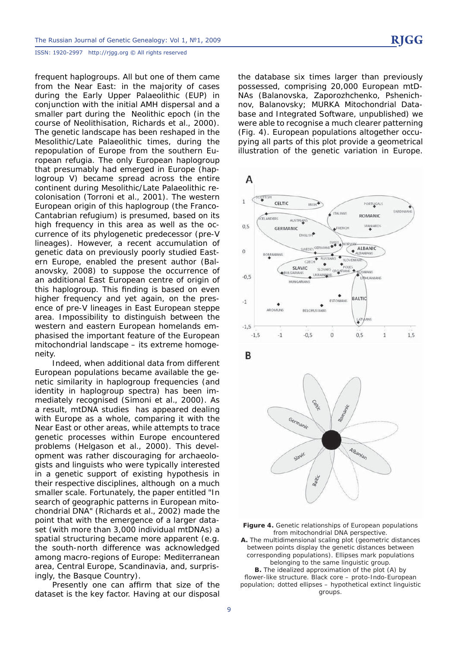frequent haplogroups. All but one of them came from the Near East: in the majority of cases during the Early Upper Palaeolithic (EUP) in conjunction with the initial AMH dispersal and a smaller part during the Neolithic epoch (in the course of Neolithisation, Richards et al., 2000). The genetic landscape has been reshaped in the Mesolithic/Late Palaeolithic times, during the repopulation of Europe from the southern European refugia. The only European haplogroup that presumably had emerged in Europe (haplogroup V) became spread across the entire continent during Mesolithic/Late Palaeolithic recolonisation (Torroni et al., 2001). The western European origin of this haplogroup (the Franco-Cantabrian refugium) is presumed, based on its high frequency in this area as well as the occurrence of its phylogenetic predecessor (pre-V lineages). However, a recent accumulation of genetic data on previously poorly studied Eastern Europe, enabled the present author (Balanovsky, 2008) to suppose the occurrence of an additional East European centre of origin of this haplogroup. This finding is based on even higher frequency and yet again, on the presence of pre-V lineages in East European steppe area. Impossibility to distinguish between the western and eastern European homelands emphasised the important feature of the European mitochondrial landscape – its extreme homogeneity.

Indeed, when additional data from different European populations became available the genetic similarity in haplogroup frequencies (and identity in haplogroup spectra) has been immediately recognised (Simoni et al., 2000). As a result, mtDNA studies has appeared dealing with Europe as a whole, comparing it with the Near East or other areas, while attempts to trace genetic processes within Europe encountered problems (Helgason et al., 2000). This development was rather discouraging for archaeologists and linguists who were typically interested in a genetic support of existing hypothesis in their respective disciplines, although on a much smaller scale. Fortunately, the paper entitled "In search of geographic patterns in European mitochondrial DNA" (Richards et al., 2002) made the point that with the emergence of a larger dataset (with more than 3,000 individual mtDNAs) a spatial structuring became more apparent (e.g. the south-north difference was acknowledged among macro-regions of Europe: Mediterranean area, Central Europe, Scandinavia, and, surprisingly, the Basque Country).

Presently one can affirm that size of the dataset is the key factor. Having at our disposal the database six times larger than previously possessed, comprising 20,000 European mtD-NAs (Balanovska, Zaporozhchenko, Pshenichnov, Balanovsky; MURKA Mitochondrial Database and Integrated Software, unpublished) we were able to recognise a much clearer patterning (Fig. 4). European populations altogether occupying all parts of this plot provide a geometrical illustration of the genetic variation in Europe.



**Figure 4.** Genetic relationships of European populations from mitochondrial DNA perspective.

**A.** The multidimensional scaling plot (geometric distances between points display the genetic distances between corresponding populations). Ellipses mark populations belonging to the same linguistic group.

**B.** The idealized approximation of the plot (A) by flower-like structure. Black core – proto-Indo-European population; dotted ellipses – hypothetical extinct linguistic groups.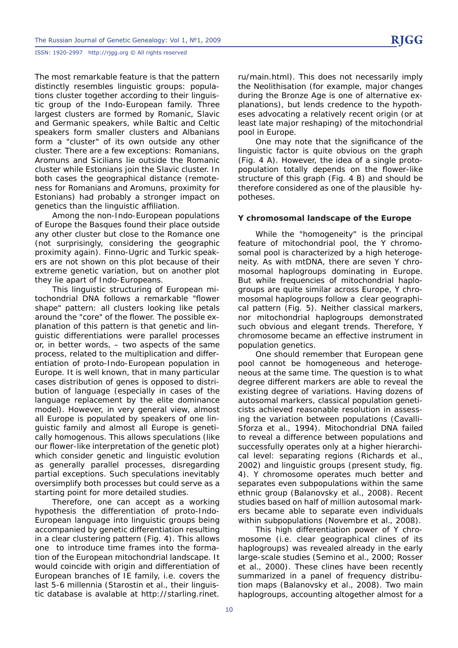The most remarkable feature is that the pattern distinctly resembles linguistic groups: populations cluster together according to their linguistic group of the Indo-European family. Three largest clusters are formed by Romanic, Slavic and Germanic speakers, while Baltic and Celtic speakers form smaller clusters and Albanians form a "cluster" of its own outside any other cluster. There are a few exceptions: Romanians, Aromuns and Sicilians lie outside the Romanic cluster while Estonians join the Slavic cluster. In both cases the geographical distance (remoteness for Romanians and Aromuns, proximity for Estonians) had probably a stronger impact on genetics than the linguistic affiliation.

Among the non-Indo-European populations of Europe the Basques found their place outside any other cluster but close to the Romance one (not surprisingly, considering the geographic proximity again). Finno-Ugric and Turkic speakers are not shown on this plot because of their extreme genetic variation, but on another plot they lie apart of Indo-Europeans.

This linguistic structuring of European mitochondrial DNA follows a remarkable "flower shape" pattern: all clusters looking like petals around the "core" of the flower. The possible explanation of this pattern is that genetic and linguistic differentiations were parallel processes or, in better words, – two aspects of the same process, related to the multiplication and differentiation of proto-Indo-European population in Europe. It is well known, that in many particular cases distribution of genes is opposed to distribution of language (especially in cases of the language replacement by the elite dominance model). However, in very general view, almost all Europe is populated by speakers of one linguistic family and almost all Europe is genetically homogenous. This allows speculations (like our flower-like interpretation of the genetic plot) which consider genetic and linguistic evolution as generally parallel processes, disregarding partial exceptions. Such speculations inevitably oversimplify both processes but could serve as a starting point for more detailed studies.

Therefore, one can accept as a working hypothesis the differentiation of proto-Indo-European language into linguistic groups being accompanied by genetic differentiation resulting in a clear clustering pattern (Fig. 4). This allows one to introduce time frames into the formation of the European mitochondrial landscape. It would coincide with origin and differentiation of European branches of IE family, i.e. covers the last 5-6 millennia (Starostin et al., their linguistic database is avalable at http://starling.rinet.

ru/main.html). This does not necessarily imply the Neolithisation (for example, major changes during the Bronze Age is one of alternative explanations), but lends credence to the hypotheses advocating a relatively recent origin (or at least late major reshaping) of the mitochondrial pool in Europe.

One may note that the significance of the linguistic factor is quite obvious on the graph (Fig. 4 A). However, the idea of a single protopopulation totally depends on the flower-like structure of this graph (Fig. 4 B) and should be therefore considered as one of the plausible hypotheses.

# **Y chromosomal landscape of the Europe**

While the "homogeneity" is the principal feature of mitochondrial pool, the Y chromosomal pool is characterized by a high heterogeneity. As with mtDNA, there are seven Y chromosomal haplogroups dominating in Europe. But while frequencies of mitochondrial haplogroups are quite similar across Europe, Y chromosomal haplogroups follow a clear geographical pattern (Fig. 5). Neither classical markers, nor mitochondrial haplogroups demonstrated such obvious and elegant trends. Therefore, Y chromosome became an effective instrument in population genetics.

One should remember that European gene pool cannot be homogeneous and heterogeneous at the same time. The question is to what degree different markers are able to reveal the existing degree of variations. Having dozens of autosomal markers, classical population geneticists achieved reasonable resolution in assessing the variation between populations (Cavalli-Sforza et al., 1994). Mitochondrial DNA failed to reveal a difference between populations and successfully operates only at a higher hierarchical level: separating regions (Richards et al., 2002) and linguistic groups (present study, fig. 4). Y chromosome operates much better and separates even subpopulations within the same ethnic group (Balanovsky et al., 2008). Recent studies based on half of million autosomal markers became able to separate even individuals within subpopulations (Novembre et al., 2008).

This high differentiation power of Y chromosome (i.e. clear geographical clines of its haplogroups) was revealed already in the early large-scale studies (Semino et al., 2000; Rosser et al., 2000). These clines have been recently summarized in a panel of frequency distribution maps (Balanovsky et al., 2008). Two main haplogroups, accounting altogether almost for a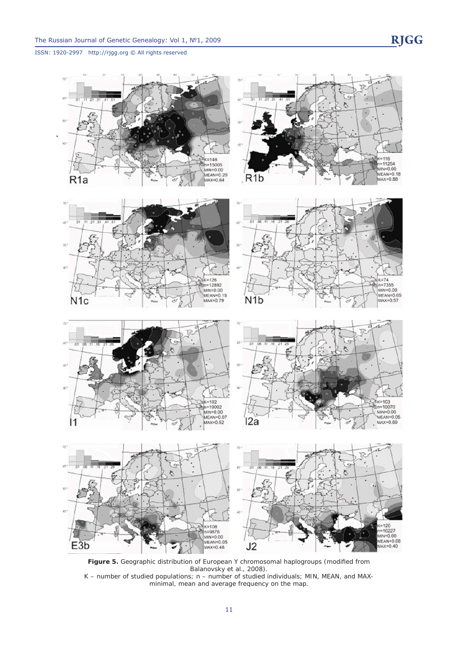The Russian Journal of Genetic Genealogy: Vol 1, №1, 2009 **RJGG** ISSN: 1920-2997 http://rjgg.org © All rights reserved



**Figure 5.** Geographic distribution of European Y chromosomal haplogroups (modified from Balanovsky et al., 2008). K – number of studied populations; n – number of studied individuals; MIN, MEAN, and MAX-

minimal, mean and average frequency on the map.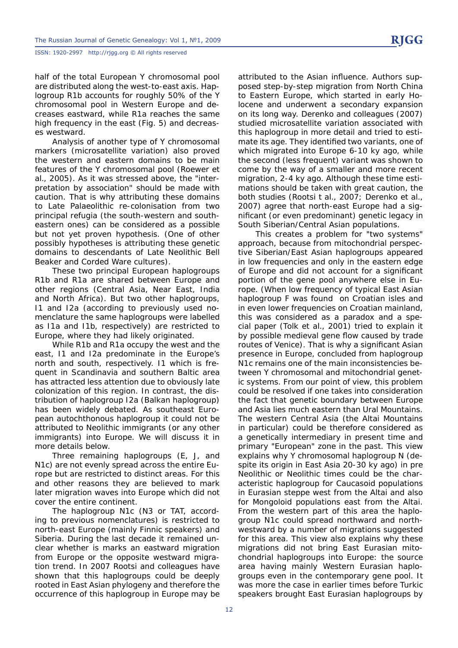half of the total European Y chromosomal pool are distributed along the west-to-east axis. Haplogroup R1b accounts for roughly 50% of the Y chromosomal pool in Western Europe and decreases eastward, while R1a reaches the same high frequency in the east (Fig. 5) and decreases westward.

Analysis of another type of Y chromosomal markers (microsatellite variation) also proved the western and eastern domains to be main features of the Y chromosomal pool (Roewer et al., 2005). As it was stressed above, the "interpretation by association" should be made with caution. That is why attributing these domains to Late Palaeolithic re-colonisation from two principal refugia (the south-western and southeastern ones) can be considered as a possible but not yet proven hypothesis. (One of other possibly hypotheses is attributing these genetic domains to descendants of Late Neolithic Bell Beaker and Corded Ware cultures).

These two principal European haplogroups R1b and R1a are shared between Europe and other regions (Central Asia, Near East, India and North Africa). But two other haplogroups, I1 and I2a (according to previously used nomenclature the same haplogroups were labelled as I1a and I1b, respectively) are restricted to Europe, where they had likely originated.

While R1b and R1a occupy the west and the east, I1 and I2a predominate in the Europe's north and south, respectively. I1 which is frequent in Scandinavia and southern Baltic area has attracted less attention due to obviously late colonization of this region. In contrast, the distribution of haplogroup I2a (Balkan haplogroup) has been widely debated. As southeast European autochthonous haplogroup it could not be attributed to Neolithic immigrants (or any other immigrants) into Europe. We will discuss it in more details below.

Three remaining haplogroups (E, J, and N1c) are not evenly spread across the entire Europe but are restricted to distinct areas. For this and other reasons they are believed to mark later migration waves into Europe which did not cover the entire continent.

The haplogroup N1c (N3 or TAT, according to previous nomenclatures) is restricted to north-east Europe (mainly Finnic speakers) and Siberia. During the last decade it remained unclear whether is marks an eastward migration from Europe or the opposite westward migration trend. In 2007 Rootsi and colleagues have shown that this haplogroups could be deeply rooted in East Asian phylogeny and therefore the occurrence of this haplogroup in Europe may be

attributed to the Asian influence. Authors supposed step-by-step migration from North China to Eastern Europe, which started in early Holocene and underwent a secondary expansion on its long way. Derenko and colleagues (2007) studied microsatellite variation associated with this haplogroup in more detail and tried to estimate its age. They identified two variants, one of which migrated into Europe 6-10 ky ago, while the second (less frequent) variant was shown to come by the way of a smaller and more recent migration, 2-4 ky ago. Although these time estimations should be taken with great caution, the both studies (Rootsi t al., 2007; Derenko et al., 2007) agree that north-east Europe had a significant (or even predominant) genetic legacy in South Siberian/Central Asian populations.

This creates a problem for "two systems" approach, because from mitochondrial perspective Siberian/East Asian haplogroups appeared in low frequencies and only in the eastern edge of Europe and did not account for a significant portion of the gene pool anywhere else in Europe. (When low frequency of typical East Asian haplogroup F was found on Croatian isles and in even lower frequencies on Croatian mainland, this was considered as a paradox and a special paper (Tolk et al., 2001) tried to explain it by possible medieval gene flow caused by trade routes of Venice). That is why a significant Asian presence in Europe, concluded from haplogroup N1c remains one of the main inconsistencies between Y chromosomal and mitochondrial genetic systems. From our point of view, this problem could be resolved if one takes into consideration the fact that genetic boundary between Europe and Asia lies much eastern than Ural Mountains. The western Central Asia (the Altai Mountains in particular) could be therefore considered as a genetically intermediary in present time and primary "European" zone in the past. This view explains why Y chromosomal haplogroup N (despite its origin in East Asia 20-30 ky ago) in pre Neolithic or Neolithic times could be the characteristic haplogroup for Caucasoid populations in Eurasian steppe west from the Altai and also for Mongoloid populations east from the Altai. From the western part of this area the haplogroup N1c could spread northward and northwestward by a number of migrations suggested for this area. This view also explains why these migrations did not bring East Eurasian mitochondrial haplogroups into Europe: the source area having mainly Western Eurasian haplogroups even in the contemporary gene pool. It was more the case in earlier times before Turkic speakers brought East Eurasian haplogroups by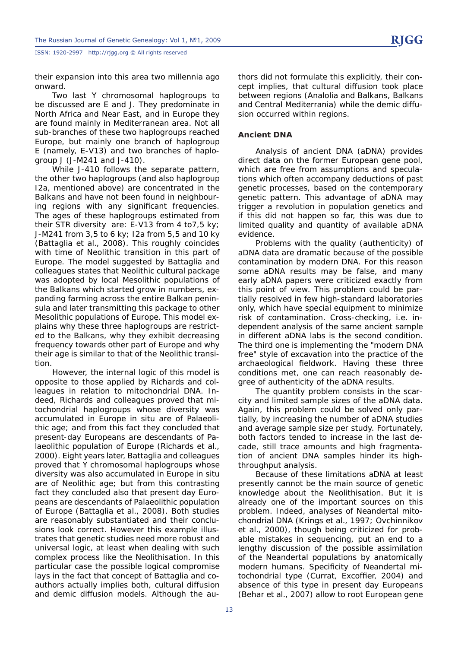their expansion into this area two millennia ago onward.

Two last Y chromosomal haplogroups to be discussed are E and J. They predominate in North Africa and Near East, and in Europe they are found mainly in Mediterranean area. Not all sub-branches of these two haplogroups reached Europe, but mainly one branch of haplogroup E (namely, E-V13) and two branches of haplogroup J (J-M241 and J-410).

While J-410 follows the separate pattern, the other two haplogroups (and also haplogroup I2a, mentioned above) are concentrated in the Balkans and have not been found in neighbouring regions with any significant frequencies. The ages of these haplogroups estimated from their STR diversity are: E-V13 from 4 to7,5 ky; J-M241 from 3,5 to 6 ky; I2a from 5,5 and 10 ky (Battaglia et al., 2008). This roughly coincides with time of Neolithic transition in this part of Europe. The model suggested by Battaglia and colleagues states that Neolithic cultural package was adopted by local Mesolithic populations of the Balkans which started grow in numbers, expanding farming across the entire Balkan peninsula and later transmitting this package to other Mesolithic populations of Europe. This model explains why these three haplogroups are restricted to the Balkans, why they exhibit decreasing frequency towards other part of Europe and why their age is similar to that of the Neolithic transition.

However, the internal logic of this model is opposite to those applied by Richards and colleagues in relation to mitochondrial DNA. Indeed, Richards and colleagues proved that mitochondrial haplogroups whose diversity was accumulated in Europe in situ are of Palaeolithic age; and from this fact they concluded that present-day Europeans are descendants of Palaeolithic population of Europe (Richards et al., 2000). Eight years later, Battaglia and colleagues proved that Y chromosomal haplogroups whose diversity was also accumulated in Europe in situ are of Neolithic age; but from this contrasting fact they concluded also that present day Europeans are descendants of Palaeolithic population of Europe (Battaglia et al., 2008). Both studies are reasonably substantiated and their conclusions look correct. However this example illustrates that genetic studies need more robust and universal logic, at least when dealing with such complex process like the Neolithisation. In this particular case the possible logical compromise lays in the fact that concept of Battaglia and coauthors actually implies both, cultural diffusion and demic diffusion models. Although the authors did not formulate this explicitly, their concept implies, that cultural diffusion took place between regions (Analolia and Balkans, Balkans and Central Mediterrania) while the demic diffusion occurred within regions.

# **Ancient DNA**

Analysis of ancient DNA (aDNA) provides direct data on the former European gene pool, which are free from assumptions and speculations which often accompany deductions of past genetic processes, based on the contemporary genetic pattern. This advantage of aDNA may trigger a revolution in population genetics and if this did not happen so far, this was due to limited quality and quantity of available aDNA evidence.

Problems with the quality (authenticity) of aDNA data are dramatic because of the possible contamination by modern DNA. For this reason some aDNA results may be false, and many early aDNA papers were criticized exactly from this point of view. This problem could be partially resolved in few high-standard laboratories only, which have special equipment to minimize risk of contamination. Cross-checking, i.e. independent analysis of the same ancient sample in different aDNA labs is the second condition. The third one is implementing the "modern DNA free" style of excavation into the practice of the archaeological fieldwork. Having these three conditions met, one can reach reasonably degree of authenticity of the aDNA results.

The quantity problem consists in the scarcity and limited sample sizes of the aDNA data. Again, this problem could be solved only partially, by increasing the number of aDNA studies and average sample size per study. Fortunately, both factors tended to increase in the last decade, still trace amounts and high fragmentation of ancient DNA samples hinder its highthroughput analysis.

Because of these limitations aDNA at least presently cannot be the main source of genetic knowledge about the Neolithisation. But it is already one of the important sources on this problem. Indeed, analyses of Neandertal mitochondrial DNA (Krings et al., 1997; Ovchinnikov et al., 2000), though being criticized for probable mistakes in sequencing, put an end to a lengthy discussion of the possible assimilation of the Neandertal populations by anatomically modern humans. Specificity of Neandertal mitochondrial type (Currat, Excoffier, 2004) and absence of this type in present day Europeans (Behar et al., 2007) allow to root European gene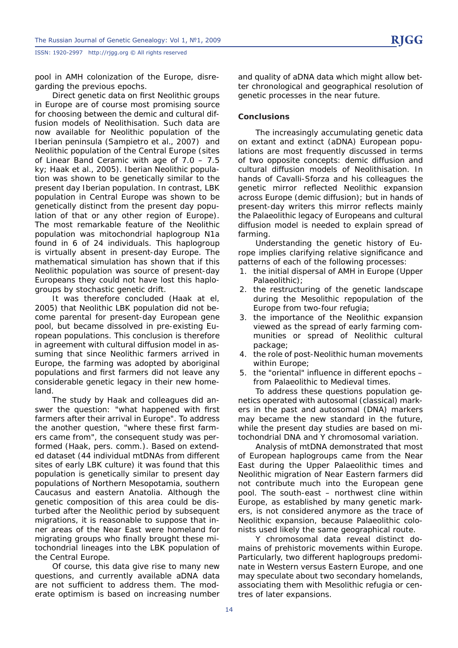pool in AMH colonization of the Europe, disregarding the previous epochs.

Direct genetic data on first Neolithic groups in Europe are of course most promising source for choosing between the demic and cultural diffusion models of Neolithisation. Such data are now available for Neolithic population of the Iberian peninsula (Sampietro et al., 2007) and Neolithic population of the Central Europe (sites of Linear Band Ceramic with age of 7.0 – 7.5 ky; Haak et al., 2005). Iberian Neolithic population was shown to be genetically similar to the present day Iberian population. In contrast, LBK population in Central Europe was shown to be genetically distinct from the present day population of that or any other region of Europe). The most remarkable feature of the Neolithic population was mitochondrial haplogroup N1a found in 6 of 24 individuals. This haplogroup is virtually absent in present-day Europe. The mathematical simulation has shown that if this Neolithic population was source of present-day Europeans they could not have lost this haplogroups by stochastic genetic drift.

It was therefore concluded (Haak at el, 2005) that Neolithic LBK population did not become parental for present-day European gene pool, but became dissolved in pre-existing European populations. This conclusion is therefore in agreement with cultural diffusion model in assuming that since Neolithic farmers arrived in Europe, the farming was adopted by aboriginal populations and first farmers did not leave any considerable genetic legacy in their new homeland.

The study by Haak and colleagues did answer the question: "what happened with first farmers after their arrival in Europe". To address the another question, "where these first farmers came from", the consequent study was performed (Haak, pers. comm.). Based on extended dataset (44 individual mtDNAs from different sites of early LBK culture) it was found that this population is genetically similar to present day populations of Northern Mesopotamia, southern Caucasus and eastern Anatolia. Although the genetic composition of this area could be disturbed after the Neolithic period by subsequent migrations, it is reasonable to suppose that inner areas of the Near East were homeland for migrating groups who finally brought these mitochondrial lineages into the LBK population of the Central Europe.

Of course, this data give rise to many new questions, and currently available aDNA data are not sufficient to address them. The moderate optimism is based on increasing number

and quality of aDNA data which might allow better chronological and geographical resolution of genetic processes in the near future.

# **Conclusions**

The increasingly accumulating genetic data on extant and extinct (aDNA) European populations are most frequently discussed in terms of two opposite concepts: demic diffusion and cultural diffusion models of Neolithisation. In hands of Cavalli-Sforza and his colleagues the genetic mirror reflected Neolithic expansion across Europe (demic diffusion); but in hands of present-day writers this mirror reflects mainly the Palaeolithic legacy of Europeans and cultural diffusion model is needed to explain spread of farming.

Understanding the genetic history of Europe implies clarifying relative significance and patterns of each of the following processes:

- 1. the initial dispersal of AMH in Europe (Upper Palaeolithic);
- 2. the restructuring of the genetic landscape during the Mesolithic repopulation of the Europe from two-four refugia;
- 3. the importance of the Neolithic expansion viewed as the spread of early farming communities or spread of Neolithic cultural package;
- 4. the role of post-Neolithic human movements within Europe;
- 5. the "oriental" influence in different epochs  $$ from Palaeolithic to Medieval times.

To address these questions population genetics operated with autosomal (classical) markers in the past and autosomal (DNA) markers may became the new standard in the future, while the present day studies are based on mitochondrial DNA and Y chromosomal variation.

Analysis of mtDNA demonstrated that most of European haplogroups came from the Near East during the Upper Palaeolithic times and Neolithic migration of Near Eastern farmers did not contribute much into the European gene pool. The south-east – northwest cline within Europe, as established by many genetic markers, is not considered anymore as the trace of Neolithic expansion, because Palaeolithic colonists used likely the same geographical route.

Y chromosomal data reveal distinct domains of prehistoric movements within Europe. Particularly, two different haplogroups predominate in Western versus Eastern Europe, and one may speculate about two secondary homelands, associating them with Mesolithic refugia or centres of later expansions.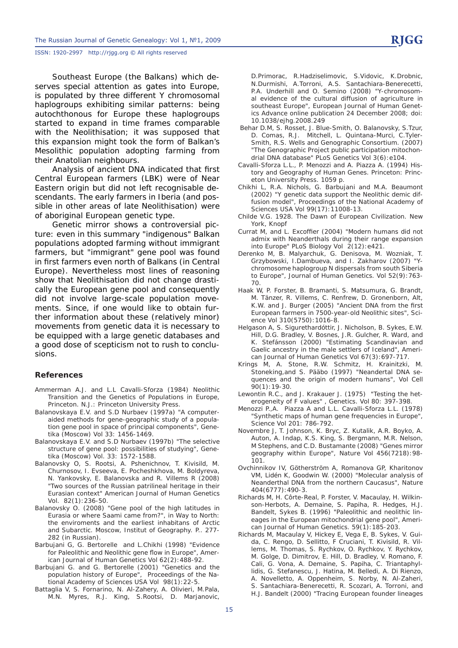Southeast Europe (the Balkans) which deserves special attention as gates into Europe, is populated by three different Y chromosomal haplogroups exhibiting similar patterns: being autochthonous for Europe these haplogroups started to expand in time frames comparable with the Neolithisation; it was supposed that this expansion might took the form of Balkan's Mesolithic population adopting farming from their Anatolian neighbours.

Analysis of ancient DNA indicated that first Central European farmers (LBK) were of Near Eastern origin but did not left recognisable descendants. The early farmers in Iberia (and possible in other areas of late Neolithisation) were of aboriginal European genetic type.

Genetic mirror shows a controversial picture: even in this summary "indigenous" Balkan populations adopted farming without immigrant farmers, but "immigrant" gene pool was found in first farmers even north of Balkans (in Central Europe). Nevertheless most lines of reasoning show that Neolithisation did not change drastically the European gene pool and consequently did not involve large-scale population movements. Since, if one would like to obtain further information about these (relatively minor) movements from genetic data it is necessary to be equipped with a large genetic databases and a good dose of scepticism not to rush to conclusions.

### **References**

- Ammerman A.J. and L.L Cavalli-Sforza (1984) Neolithic Transition and the Genetics of Populations in Europe, Princeton. N.J.: Princeton University Press.
- Balanovskaya E.V. and S.D Nurbaev (1997a) "A computeraided methods for gene-geographic study of a population gene pool in space of principal components", Genetika (Moscow) Vol 33: 1456-1469.
- Balanovskaya E.V. and S.D Nurbaev (1997b) "The selective structure of gene pool: possibilities of studying", Genetika (Moscow) Vol. 33: 1572-1588.
- Balanovsky O, S. Rootsi, A. Pshenichnov, T. Kivisild, M. Churnosov, I. Evseeva, E. Pocheshkhova, M. Boldyreva, N. Yankovsky, E. Balanovska and R. Villems R (2008) "Two sources of the Russian patrilineal heritage in their Eurasian context" American Journal of Human Genetics Vol. 82(1):236-50.
- Balanovsky O. (2008) "Gene pool of the high latitudes in Eurasia or where Saami came from?", in Way to North: the enviroments and the earliest inhabitans of Arctic and Subarctic. Moscow, Institut of Geography. P.. 277- 282 (in Russian).
- Barbujani G, G. Bertorelle and L.Chikhi (1998) "Evidence for Paleolithic and Neolithic gene flow in Europe", American Journal of Human Genetics Vol 62(2):488-92.
- Barbujani G. and G. Bertorelle (2001) "Genetics and the population history of Europe", Proceedings of the National Academy of Sciences USA Vol 98(1):22-5.
- Battaglia V, S. Fornarino, N. Al-Zahery, A. Olivieri, M.Pala, M.N. Myres, R.J. King, S.Rootsi, D. Marjanovic,

D.Primorac, R.Hadziselimovic, S.Vidovic, K.Drobnic, N.Durmishi, A.Torroni, A.S. Santachiara-Benerecetti, P.A. Underhill and O. Semino (2008) "Y-chromosomal evidence of the cultural diffusion of agriculture in southeast Europe", European Journal of Human Genetics Advance online publication 24 December 2008; doi: 10.1038/ejhg.2008.249

- Behar D.M, S. Rosset, J. Blue-Smith, O. Balanovsky, S.Tzur, D. Comas, R.J. Mitchell, L. Quintana-Murci, C.Tyler-Smith, R.S. Wells and Genographic Consortium. (2007) "The Genographic Project public participation mitochondrial DNA database" PLoS Genetics Vol 3(6):e104.
- Cavalli-Sforza L.L., P. Menozzi and A. Piazza A. (1994) History and Geography of Human Genes. Princeton: Princeton University Press. 1059 p.
- Chikhi L, R.A. Nichols, G. Barbujani and M.A. Beaumont (2002) "Y genetic data support the Neolithic demic diffusion model", Proceedings of the National Academy of Sciences USA Vol 99(17):11008-13.
- Childe V.G. 1928. The Dawn of European Civilization. New York, Knopf
- Currat M, and L. Excoffier (2004) "Modern humans did not admix with Neanderthals during their range expansion into Europe" PLoS Biology Vol 2(12):e421.
- Derenko M, B. Malyarchuk, G. Denisova, M. Wozniak, T. Grzybowski, I.Dambueva, and I. Zakharov (2007) "Ychromosome haplogroup N dispersals from south Siberia to Europe", Journal of Human Genetics. Vol 52(9):763- 70.
- Haak W, P. Forster, B. Bramanti, S. Matsumura, G. Brandt, M. Tänzer, R. Villems, C. Renfrew, D. Gronenborn, Alt, K.W. and J. Burger (2005) "Ancient DNA from the first European farmers in 7500-year-old Neolithic sites", Science Vol 310(5750):1016-8.
- Helgason A, S. Sigurethardóttir, J. Nicholson, B. Sykes, E.W. Hill, D.G. Bradley, V. Bosnes, J.R. Gulcher, R. Ward, and K. Stefánsson (2000) "Estimating Scandinavian and Gaelic ancestry in the male settlers of Iceland", American Journal of Human Genetics Vol 67(3):697-717.
- Krings M, A. Stone, R.W. Schmitz, H. Krainitzki, M. Stoneking,and S. Pääbo (1997) "Neandertal DNA sequences and the origin of modern humans", Vol Cell 90(1):19-30.
- Lewontin R.C., and J. Krakauer J. (1975) "Testing the heterogeneity of F values" , Genetics. Vol 80: 397-398.
- Menozzi P.,A. Piazza A and L.L. Cavalli-Sforza L.L. (1978) "Synthetic maps of human gene frequencies in Europe", Science Vol 201: 786-792.
- Novembre J, T. Johnson, K. Bryc, Z. Kutalik, A.R. Boyko, A. Auton, A. Indap, K.S. King, S. Bergmann, M.R. Nelson, M Stephens, and C.D. Bustamante (2008) "Genes mirror geography within Europe", Nature Vol 456(7218):98- 101.
- Ovchinnikov IV, Götherström A, Romanova GP, Kharitonov VM, Lidén K, Goodwin W. (2000) "Molecular analysis of Neanderthal DNA from the northern Caucasus", Nature 404(6777):490-3.
- Richards M, H. Côrte-Real, P. Forster, V. Macaulay, H. Wilkinson-Herbots, A. Demaine, S. Papiha, R. Hedges, H.J. Bandelt, Sykes B. (1996) "Paleolithic and neolithic lineages in the European mitochondrial gene pool", American Journal of Human Genetics. 59(1):185-203.
- Richards M, Macaulay V, Hickey E, Vega E, B. Sykes, V. Guida, C. Rengo, D. Sellitto, F Cruciani, T. Kivisild, R. Villems, M. Thomas, S. Rychkov, O. Rychkov, Y. Rychkov, M. Golge, D. Dimitrov, E. Hill, D. Bradley, V. Romano, F. Cali, G. Vona, A. Demaine, S. Papiha, C. Triantaphyllidis, G. Stefanescu, J. Hatina, M. Belledi, A. Di Rienzo, A. Novelletto, A. Oppenheim, S. Norby, N. Al-Zaheri, S. Santachiara-Benerecetti, R. Scozari, A. Torroni, and H.J. Bandelt (2000) "Tracing European founder lineages